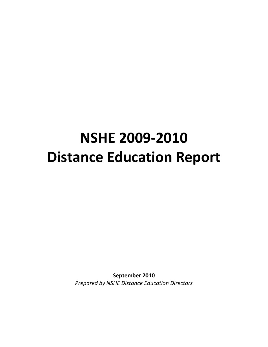# **NSHE 2009-2010 Distance Education Report**

**September 2010** *Prepared by NSHE Distance Education Directors*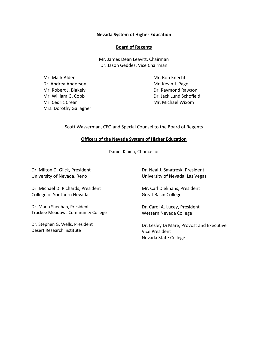#### **Nevada System of Higher Education**

#### **Board of Regents**

Mr. James Dean Leavitt, Chairman Dr. Jason Geddes, Vice Chairman

Mr. Mark Alden Dr. Andrea Anderson Mr. Robert J. Blakely Mr. William G. Cobb Mr. Cedric Crear Mrs. Dorothy Gallagher

Mr. Ron Knecht Mr. Kevin J. Page Dr. Raymond Rawson Dr. Jack Lund Schofield Mr. Michael Wixom

Scott Wasserman, CEO and Special Counsel to the Board of Regents

#### **Officers of the Nevada System of Higher Education**

Daniel Klaich, Chancellor

Dr. Milton D. Glick, President University of Nevada, Reno

Dr. Michael D. Richards, President College of Southern Nevada

Dr. Maria Sheehan, President Truckee Meadows Community College

Dr. Stephen G. Wells, President Desert Research Institute

Dr. Neal J. Smatresk, President University of Nevada, Las Vegas

Mr. Carl Diekhans, President Great Basin College

Dr. Carol A. Lucey, President Western Nevada College

Dr. Lesley Di Mare, Provost and Executive Vice President Nevada State College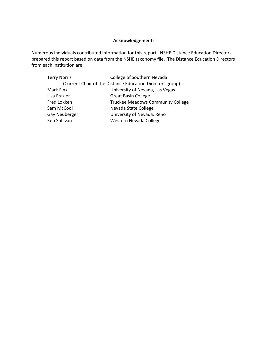## **Acknowledgements**

Numerous individuals contributed information for this report. NSHE Distance Education Directors prepared this report based on data from the NSHE taxonomy file. The Distance Education Directors from each institution are:

| College of Southern Nevada                                |  |  |  |
|-----------------------------------------------------------|--|--|--|
| (Current Chair of the Distance Education Directors group) |  |  |  |
| University of Nevada, Las Vegas                           |  |  |  |
| <b>Great Basin College</b>                                |  |  |  |
| <b>Truckee Meadows Community College</b>                  |  |  |  |
| Nevada State College                                      |  |  |  |
| University of Nevada, Reno                                |  |  |  |
| Western Nevada College                                    |  |  |  |
|                                                           |  |  |  |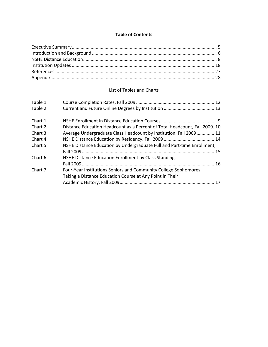#### **Table of Contents**

## List of Tables and Charts

| Table 1 |                                                                             |  |
|---------|-----------------------------------------------------------------------------|--|
| Table 2 |                                                                             |  |
| Chart 1 |                                                                             |  |
| Chart 2 | Distance Education Headcount as a Percent of Total Headcount, Fall 2009. 10 |  |
| Chart 3 | Average Undergraduate Class Headcount by Institution, Fall 2009 11          |  |
| Chart 4 |                                                                             |  |
| Chart 5 | NSHE Distance Education by Undergraduate Full and Part-time Enrollment,     |  |
|         |                                                                             |  |
| Chart 6 | NSHE Distance Education Enrollment by Class Standing,                       |  |
|         |                                                                             |  |
| Chart 7 | Four-Year Institutions Seniors and Community College Sophomores             |  |
|         | Taking a Distance Education Course at Any Point in Their                    |  |
|         |                                                                             |  |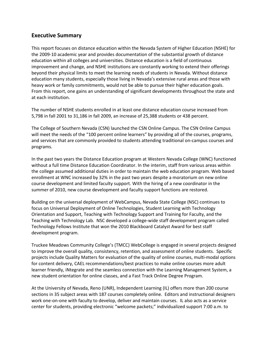# **Executive Summary**

This report focuses on distance education within the Nevada System of Higher Education (NSHE) for the 2009-10 academic year and provides documentation of the substantial growth of distance education within all colleges and universities. Distance education is a field of continuous improvement and change, and NSHE institutions are constantly working to extend their offerings beyond their physical limits to meet the learning needs of students in Nevada. Without distance education many students, especially those living in Nevada's extensive rural areas and those with heavy work or family commitments, would not be able to pursue their higher education goals. From this report, one gains an understanding of significant developments throughout the state and at each institution.

The number of NSHE students enrolled in at least one distance education course increased from 5,798 in fall 2001 to 31,186 in fall 2009, an increase of 25,388 students or 438 percent.

The College of Southern Nevada (CSN) launched the CSN Online Campus. The CSN Online Campus will meet the needs of the "100 percent online learners" by providing all of the courses, programs, and services that are commonly provided to students attending traditional on-campus courses and programs.

In the past two years the Distance Education program at Western Nevada College (WNC) functioned without a full time Distance Education Coordinator. In the interim, staff from various areas within the college assumed additional duties in order to maintain the web education program. Web based enrollment at WNC increased by 32% in the past two years despite a moratorium on new online course development and limited faculty support. With the hiring of a new coordinator in the summer of 2010, new course development and faculty support functions are restored.

Building on the universal deployment of WebCampus, Nevada State College (NSC) continues to focus on Universal Deployment of Online Technologies, Student Learning with Technology Orientation and Support, Teaching with Technology Support and Training for Faculty, and the Teaching with Technology Lab. NSC developed a college-wide staff development program called Technology Fellows Institute that won the 2010 Blackboard Catalyst Award for best staff development program.

Truckee Meadows Community College's (TMCC) WebCollege is engaged in several projects designed to improve the overall quality, consistency, retention, and assessment of online students. Specific projects include Quality Matters for evaluation of the quality of online courses, multi-modal options for content delivery, CAEL recommendations/best practices to make online courses more adult learner friendly, iNtegrate and the seamless connection with the Learning Management System, a new student orientation for online classes, and a Fast Track Online Degree Program.

At the University of Nevada, Reno (UNR), Independent Learning (IL) offers more than 200 course sections in 35 subject areas with 187 courses completely online. Editors and instructional designers work one-on-one with faculty to develop, deliver and maintain courses. IL also acts as a service center for students, providing electronic "welcome packets;" individualized support 7:00 a.m. to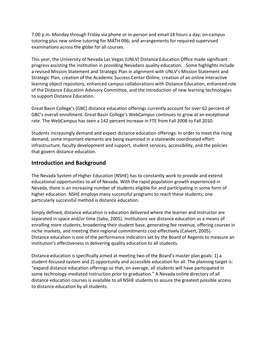7:00 p.m. Monday through Friday via phone or in-person and email 18 hours a day; on-campus tutoring plus new online tutoring for MATH 096; and arrangements for required supervised examinations across the globe for all courses.

This year, the University of Nevada Las Vegas (UNLV) Distance Education Office made significant progress assisting the institution in providing Nevadans quality education. Some highlights include a revised Mission Statement and Strategic Plan in alignment with UNLV's Mission Statement and Strategic Plan, creation of the Academic Success Center Online, creation of an online interactive learning object repository, enhanced campus collaborations with Distance Education, enhanced role of the Distance Education Advisory Committee, and the introduction of new learning technologies to support Distance Education.

Great Basin College's (GBC) distance education offerings currently account for over 62 percent of GBC's overall enrollment. Great Basin College's WebCampus continues to grow at an exceptional rate. The WebCampus has seen a 142 percent increase in FTE from Fall 2008 to Fall 2010.

Students increasingly demand and expect distance education offerings. In order to meet the rising demand, some important elements are being examined in a statewide coordinated effort: infrastructure, faculty development and support, student services, accessibility, and the policies that govern distance education.

# **Introduction and Background**

The Nevada System of Higher Education (NSHE) has to constantly work to provide and extend educational opportunities to all of Nevada. With the rapid population growth experienced in Nevada, there is an increasing number of students eligible for and participating in some form of higher education. NSHE employs many successful programs to reach these students; one particularly successful method is distance education.

Simply defined, distance education is education delivered where the learner and instructor are separated in space and/or time (Saba, 2005). Institutions see distance education as a means of enrolling more students, broadening their student base, generating fee revenue, offering courses in niche markets, and meeting their regional commitments cost-effectively (Calvert, 2005). Distance education is one of the performance indicators set by the Board of Regents to measure an institution's effectiveness in delivering quality education to all students.

Distance education is specifically aimed at meeting two of the Board's master plan goals: 1) a student-focused system and 2) opportunity and accessible education for all. The planning target is: "expand distance education offerings so that, on average, all students will have participated in some technology-mediated instruction prior to graduation." A Nevada online directory of all distance education courses is available to all NSHE students to assure the greatest possible access to distance education by all students.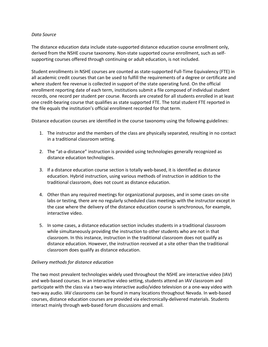#### *Data Source*

The distance education data include state-supported distance education course enrollment only, derived from the NSHE course taxonomy. Non-state supported course enrollment, such as selfsupporting courses offered through continuing or adult education, is not included.

Student enrollments in NSHE courses are counted as state-supported Full-Time Equivalency (FTE) in all academic credit courses that can be used to fulfill the requirements of a degree or certificate and where student fee revenue is collected in support of the state operating fund. On the official enrollment reporting date of each term, institutions submit a file composed of individual student records, one record per student per course. Records are created for all students enrolled in at least one credit-bearing course that qualifies as state supported FTE. The total student FTE reported in the file equals the institution's official enrollment recorded for that term.

Distance education courses are identified in the course taxonomy using the following guidelines:

- 1. The instructor and the members of the class are physically separated, resulting in no contact in a traditional classroom setting.
- 2. The "at-a-distance" instruction is provided using technologies generally recognized as distance education technologies.
- 3. If a distance education course section is totally web-based, it is identified as distance education. Hybrid instruction, using various methods of instruction in addition to the traditional classroom, does not count as distance education.
- 4. Other than any required meetings for organizational purposes, and in some cases on-site labs or testing, there are no regularly scheduled class meetings with the instructor except in the case where the delivery of the distance education course is synchronous, for example, interactive video.
- 5. In some cases, a distance education section includes students in a traditional classroom while simultaneously providing the instruction to other students who are not in that classroom. In this instance, instruction in the traditional classroom does not qualify as distance education. However, the instruction received at a site other than the traditional classroom does qualify as distance education.

#### *Delivery methods for distance education*

The two most prevalent technologies widely used throughout the NSHE are interactive video (IAV) and web-based courses. In an interactive video setting, students attend an IAV classroom and participate with the class via a two-way interactive audio/video television or a one-way video with two-way audio. IAV classrooms can be found in many locations throughout Nevada. In web-based courses, distance education courses are provided via electronically-delivered materials. Students interact mainly through web-based forum discussions and email.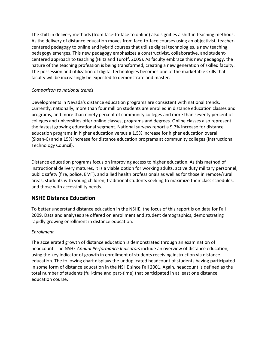The shift in delivery methods (from face-to-face to online) also signifies a shift in teaching methods. As the delivery of distance education moves from face-to-face courses using an objectivist, teachercentered pedagogy to online and hybrid courses that utilize digital technologies, a new teaching pedagogy emerges. This new pedagogy emphasizes a constructivist, collaborative, and studentcentered approach to teaching (Hiltz and Turoff, 2005). As faculty embrace this new pedagogy, the nature of the teaching profession is being transformed, creating a new generation of skilled faculty. The possession and utilization of digital technologies becomes one of the marketable skills that faculty will be increasingly be expected to demonstrate and master.

#### *Comparison to national trends*

Developments in Nevada's distance education programs are consistent with national trends. Currently, nationally, more than four million students are enrolled in distance education classes and programs, and more than ninety percent of community colleges and more than seventy percent of colleges and universities offer online classes, programs and degrees. Online classes also represent the fastest growing educational segment. National surveys report a 9.7% increase for distance education programs in higher education versus a 1.5% increase for higher education overall (Sloan-C) and a 15% increase for distance education programs at community colleges (Instructional Technology Council).

Distance education programs focus on improving access to higher education. As this method of instructional delivery matures, it is a viable option for working adults, active duty military personnel, public safety (fire, police, EMT), and allied health professionals as well as for those in remote/rural areas, students with young children, traditional students seeking to maximize their class schedules, and those with accessibility needs.

# **NSHE Distance Education**

To better understand distance education in the NSHE, the focus of this report is on data for Fall 2009. Data and analyses are offered on enrollment and student demographics, demonstrating rapidly growing enrollment in distance education.

#### *Enrollment*

The accelerated growth of distance education is demonstrated through an examination of headcount. The NSHE *Annual Performance Indicators* include an overview of distance education, using the key indicator of growth in enrollment of students receiving instruction via distance education. The following chart displays the unduplicated headcount of students having participated in some form of distance education in the NSHE since Fall 2001. Again, headcount is defined as the total number of students (full-time and part-time) that participated in at least one distance education course.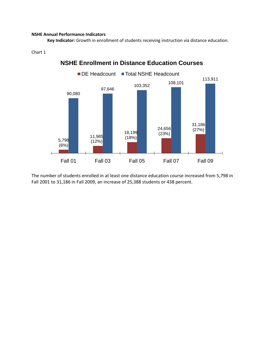#### **NSHE Annual Performance Indicators**

**Key Indicator:** Growth in enrollment of students receiving instruction via distance education.

#### Chart 1



**NSHE Enrollment in Distance Education Courses**

The number of students enrolled in at least one distance education course increased from 5,798 in Fall 2001 to 31,186 in Fall 2009, an increase of 25,388 students or 438 percent.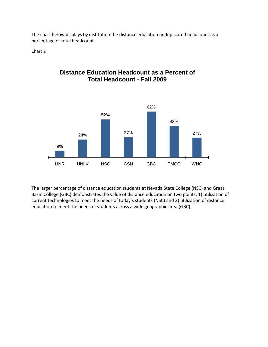The chart below displays by institution the distance education unduplicated headcount as a percentage of total headcount.

Chart 2

# **Distance Education Headcount as a Percent of Total Headcount - Fall 2009**



The larger percentage of distance education students at Nevada State College (NSC) and Great Basin College (GBC) demonstrates the value of distance education on two points: 1) utilization of current technologies to meet the needs of today's students (NSC) and 2) utilization of distance education to meet the needs of students across a wide geographic area (GBC).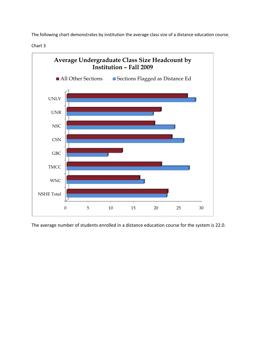The following chart demonstrates by institution the average class size of a distance education course.

Chart 3



The average number of students enrolled in a distance education course for the system is 22.0.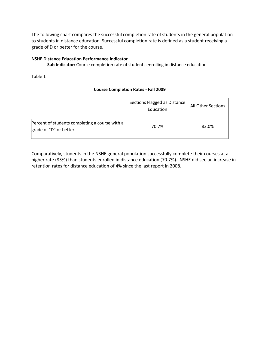The following chart compares the successful completion rate of students in the general population to students in distance education. Successful completion rate is defined as a student receiving a grade of D or better for the course.

#### **NSHE Distance Education Performance Indicator**

**Sub Indicator:** Course completion rate of students enrolling in distance education

Table 1

#### **Course Completion Rates - Fall 2009**

|                                                                          | Sections Flagged as Distance<br>Education | All Other Sections |
|--------------------------------------------------------------------------|-------------------------------------------|--------------------|
| Percent of students completing a course with a<br>grade of "D" or better | 70.7%                                     | 83.0%              |

Comparatively, students in the NSHE general population successfully complete their courses at a higher rate (83%) than students enrolled in distance education (70.7%). NSHE did see an increase in retention rates for distance education of 4% since the last report in 2008.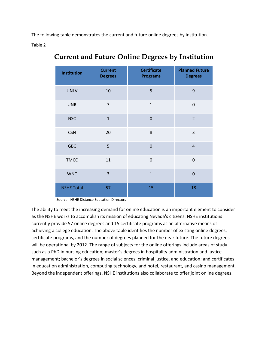The following table demonstrates the current and future online degrees by institution.

Table 2

| <b>Institution</b> | <b>Current</b><br><b>Degrees</b> | <b>Certificate</b><br><b>Programs</b> | <b>Planned Future</b><br><b>Degrees</b> |
|--------------------|----------------------------------|---------------------------------------|-----------------------------------------|
| <b>UNLV</b>        | 10                               | 5                                     | 9                                       |
| <b>UNR</b>         | $\overline{7}$                   | $\mathbf{1}$                          | $\mathbf 0$                             |
| <b>NSC</b>         | $\mathbf{1}$                     | $\overline{0}$                        | $\overline{2}$                          |
| <b>CSN</b>         | 20                               | 8                                     | 3                                       |
| <b>GBC</b>         | 5                                | $\overline{0}$                        | $\overline{4}$                          |
| <b>TMCC</b>        | 11                               | $\mathbf 0$                           | $\overline{0}$                          |
| <b>WNC</b>         | $\overline{3}$                   | $\overline{1}$                        | $\overline{0}$                          |
| <b>NSHE Total</b>  | 57                               | 15                                    | 18                                      |

# **Current and Future Online Degrees by Institution**

Source: NSHE Distance Education Directors

The ability to meet the increasing demand for online education is an important element to consider as the NSHE works to accomplish its mission of educating Nevada's citizens. NSHE institutions currently provide 57 online degrees and 15 certificate programs as an alternative means of achieving a college education. The above table identifies the number of existing online degrees, certificate programs, and the number of degrees planned for the near future. The future degrees will be operational by 2012. The range of subjects for the online offerings include areas of study such as a PhD in nursing education; master's degrees in hospitality administration and justice management; bachelor's degrees in social sciences, criminal justice, and education; and certificates in education administration, computing technology, and hotel, restaurant, and casino management. Beyond the independent offerings, NSHE institutions also collaborate to offer joint online degrees.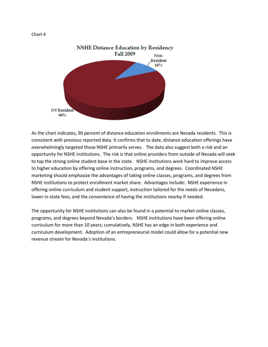

As the chart indicates, 90 percent of distance education enrollments are Nevada residents. This is consistent with previous reported data. It confirms that to date, distance education offerings have overwhelmingly targeted those NSHE primarily serves. The data also suggest both a risk and an opportunity for NSHE institutions. The risk is that online providers from outside of Nevada will seek to tap the strong online student base in the state. NSHE institutions work hard to improve access to higher education by offering online instruction, programs, and degrees. Coordinated NSHE marketing should emphasize the advantages of taking online classes, programs, and degrees from NSHE institutions to protect enrollment market share. Advantages include: NSHE experience in offering online curriculum and student support, instruction tailored for the needs of Nevadans, lower in-state fees, and the convenience of having the institutions nearby if needed.

The opportunity for NSHE institutions can also be found in a potential to market online classes, programs, and degrees beyond Nevada's borders. NSHE institutions have been offering online curriculum for more than 10 years; cumulatively, NSHE has an edge in both experience and curriculum development. Adoption of an entrepreneurial model could allow for a potential new revenue stream for Nevada's institutions.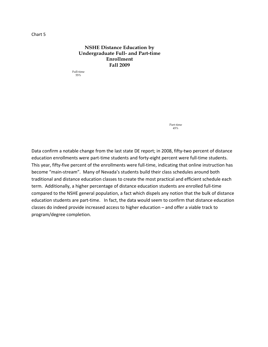#### **NSHE Distance Education by Undergraduate Full- and Part-time Enrollment Fall 2009**

Full-time 55%

> Part-time 45%

Data confirm a notable change from the last state DE report; in 2008, fifty-two percent of distance education enrollments were part-time students and forty-eight percent were full-time students. This year, fifty-five percent of the enrollments were full-time, indicating that online instruction has become "main-stream". Many of Nevada's students build their class schedules around both traditional and distance education classes to create the most practical and efficient schedule each term. Additionally, a higher percentage of distance education students are enrolled full-time compared to the NSHE general population, a fact which dispels any notion that the bulk of distance education students are part-time. In fact, the data would seem to confirm that distance education classes do indeed provide increased access to higher education – and offer a viable track to program/degree completion.

Chart 5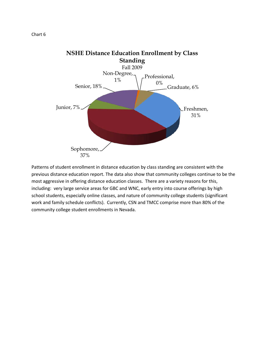

Patterns of student enrollment in distance education by class standing are consistent with the previous distance education report. The data also show that community colleges continue to be the 37%

most aggressive in offering distance education classes. There are a variety reasons for this, including: very large service areas for GBC and WNC, early entry into course offerings by high school students, especially online classes, and nature of community college students (significant work and family schedule conflicts). Currently, CSN and TMCC comprise more than 80% of the community college student enrollments in Nevada.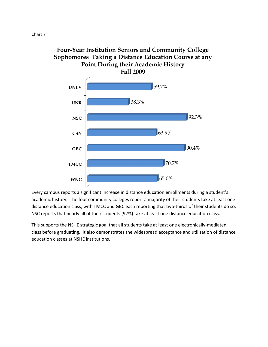



Every campus reports a significant increase in distance education enrollments during a student's academic history. The four community colleges report a majority of their students take at least one distance education class, with TMCC and GBC each reporting that two-thirds of their students do so. NSC reports that nearly all of their students (92%) take at least one distance education class.

This supports the NSHE strategic goal that all students take at least one electronically-mediated class before graduating. It also demonstrates the widespread acceptance and utilization of distance education classes at NSHE institutions.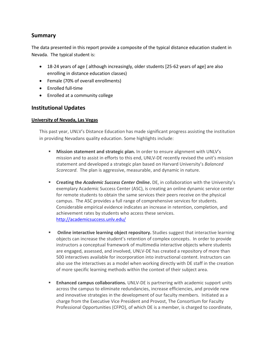# **Summary**

The data presented in this report provide a composite of the typical distance education student in Nevada. The typical student is:

- 18-24 years of age ( although increasingly, older students [25-62 years of age] are also enrolling in distance education classes)
- Female (70% of overall enrollments)
- Enrolled full-time
- Enrolled at a community college

# **Institutional Updates**

#### **University of Nevada, Las Vegas**

This past year, UNLV's Distance Education has made significant progress assisting the institution in providing Nevadans quality education. Some highlights include:

- **Mission statement and strategic plan.** In order to ensure alignment with UNLV's mission and to assist in efforts to this end, UNLV-DE recently revised the unit's mission statement and developed a strategic plan based on Harvard University's *Balanced Scorecard*. The plan is aggressive, measurable, and dynamic in nature.
- **Creating the** *Academic Success Center Online***.** DE, in collaboration with the University's exemplary Academic Success Center (ASC), is creating an online dynamic service center for remote students to obtain the same services their peers receive on the physical campus. The ASC provides a full range of comprehensive services for students. Considerable empirical evidence indicates an increase in retention, completion, and achievement rates by students who access these services. <http://academicsuccess.unlv.edu/>
- **Online interactive learning object repository.** Studies suggest that interactive learning objects can increase the student's retention of complex concepts. In order to provide instructors a conceptual framework of multimedia interactive objects where students are engaged, assessed, and involved, UNLV-DE has created a repository of more than 500 interactives available for incorporation into instructional content. Instructors can also use the interactives as a model when working directly with DE staff in the creation of more specific learning methods within the context of their subject area.
- **Enhanced campus collaborations.** UNLV-DE is partnering with academic support units across the campus to eliminate redundancies, increase efficiencies, and provide new and innovative strategies in the development of our faculty members. Initiated as a charge from the Executive Vice President and Provost, The Consortium for Faculty Professional Opportunities (CFPO), of which DE is a member, is charged to coordinate,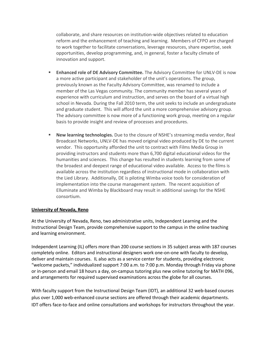collaborate, and share resources on institution-wide objectives related to education reform and the enhancement of teaching and learning. Members of CFPO are charged to work together to facilitate conversations, leverage resources, share expertise, seek opportunities, develop programming, and, in general, foster a faculty climate of innovation and support.

- **Enhanced role of DE Advisory Committee.** The Advisory Committee for UNLV-DE is now a more active participant and stakeholder of the unit's operations. The group, previously known as the Faculty Advisory Committee, was renamed to include a member of the Las Vegas community. The community member has several years of experience with curriculum and instruction, and serves on the board of a virtual high school in Nevada. During the Fall 2010 term, the unit seeks to include an undergraduate and graduate student. This will afford the unit a more comprehensive advisory group. The advisory committee is now more of a functioning work group, meeting on a regular basis to provide insight and review of processes and procedures.
- **New learning technologies.** Due to the closure of NSHE's streaming media vendor, Real Broadcast Networks, UNLV-DE has moved original video produced by DE to the current vendor. This opportunity afforded the unit to contract with Films Media Group in providing instructors and students more than 6,700 digital educational videos for the humanities and sciences. This change has resulted in students learning from some of the broadest and deepest range of educational video available. Access to the films is available across the institution regardless of instructional mode in collaboration with the Lied Library. Additionally, DE is piloting Wimba voice tools for consideration of implementation into the course management system. The recent acquisition of Elluminate and Wimba by Blackboard may result in additional savings for the NSHE consortium.

#### **University of Nevada, Reno**

At the University of Nevada, Reno, two administrative units, Independent Learning and the Instructional Design Team, provide comprehensive support to the campus in the online teaching and learning environment.

Independent Learning (IL) offers more than 200 course sections in 35 subject areas with 187 courses completely online. Editors and instructional designers work one-on-one with faculty to develop, deliver and maintain courses. IL also acts as a service center for students, providing electronic "welcome packets," individualized support 7:00 a.m. to 7:00 p.m. Monday through Friday via phone or in-person and email 18 hours a day, on-campus tutoring plus new online tutoring for MATH 096, and arrangements for required supervised examinations across the globe for all courses.

With faculty support from the Instructional Design Team (IDT), an additional 32 web-based courses plus over 1,000 web-enhanced course sections are offered through their academic departments. IDT offers face-to-face and online consultations and workshops for instructors throughout the year.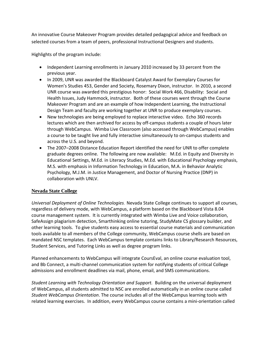An innovative Course Makeover Program provides detailed pedagogical advice and feedback on selected courses from a team of peers, professional Instructional Designers and students.

Highlights of the program include:

- Independent Learning enrollments in January 2010 increased by 33 percent from the previous year.
- In 2009, UNR was awarded the Blackboard Catalyst Award for Exemplary Courses for Women's Studies 453, Gender and Society, Rosemary Dixon, instructor. In 2010, a second UNR course was awarded this prestigious honor: Social Work 466, Disability: Social and Health Issues, Judy Hammock, instructor. Both of these courses went through the Course Makeover Program and are an example of how Independent Learning, the Instructional Design Team and faculty are working together at UNR to produce exemplary courses.
- New technologies are being employed to replace interactive video. Echo 360 records lectures which are then archived for access by off-campus students a couple of hours later through WebCampus. Wimba Live Classroom (also accessed through WebCampus) enables a course to be taught live and fully interactive simultaneously to on-campus students and across the U.S. and beyond.
- The 2007–2008 Distance Education Report identified the need for UNR to offer complete graduate degrees online. The following are now available: M.Ed. in Equity and Diversity in Educational Settings, M.Ed. in Literacy Studies, M.Ed. with Educational Psychology emphasis, M.S. with emphasis in Information Technology in Education, M.A. in Behavior Analytic Psychology, M.J.M. in Justice Management, and Doctor of Nursing Practice (DNP) in collaboration with UNLV.

#### **Nevada State College**

*Universal Deployment of Online Technologies*. Nevada State College continues to support all courses, regardless of delivery mode, with WebCampus, a platform based on the Blackboard Vista 8.04 course management system. It is currently integrated with Wimba Live and Voice collaboration, SafeAssign plagiarism detection, Smarthinking online tutoring, StudyMate CS glossary builder, and other learning tools. To give students easy access to essential course materials and communication tools available to all members of the College community, WebCampus course shells are based on mandated NSC templates. Each WebCampus template contains links to Library/Research Resources, Student Services, and Tutoring Links as well as degree program links.

Planned enhancements to WebCampus will integrate CoursEval, an online course evaluation tool, and Bb Connect, a multi-channel communication system for notifying students of critical College admissions and enrollment deadlines via mail, phone, email, and SMS communications.

*Student Learning with Technology Orientation and Support.* Building on the universal deployment of WebCampus, all students admitted to NSC are enrolled automatically in an online course called *Student WebCampus Orientation*. The course includes all of the WebCampus learning tools with related learning exercises. In addition, every WebCampus course contains a mini-orientation called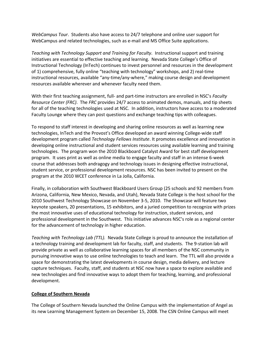*WebCampus Tour*. Students also have access to 24/7 telephone and online user support for WebCampus and related technologies, such as e-mail and MS Office Suite applications.

*Teaching with Technology Support and Training for Faculty.* Instructional support and training initiatives are essential to effective teaching and learning. Nevada State College's Office of Instructional Technology (InTech) continues to invest personnel and resources in the development of 1) comprehensive, fully online "teaching with technology" workshops, and 2) real-time instructional resources, available "any-time/any-where," making course design and development resources available wherever and whenever faculty need them.

With their first teaching assignment, full- and part-time instructors are enrolled in NSC's *Faculty Resource Center (FRC)*. The *FRC* provides 24/7 access to animated demos, manuals, and tip sheets for all of the teaching technologies used at NSC. In addition, instructors have access to a moderated Faculty Lounge where they can post questions and exchange teaching tips with colleagues.

To respond to staff interest in developing and sharing online resources as well as learning new technologies, InTech and the Provost's Office developed an award winning College-wide staff development program called *Technology Fellows Institute*. It promotes excellence and innovation in developing online instructional and student services resources using available learning and training technologies. The program won the 2010 Blackboard Catalyst Award for best staff development program. It uses print as well as online media to engage faculty and staff in an intense 6-week course that addresses both andragogy and technology issues in designing effective instructional, student service, or professional development resources. NSC has been invited to present on the program at the 2010 WCET conference in La Jolla, California.

Finally, in collaboration with Southwest Blackboard Users Group (25 schools and 92 members from Arizona, California, New Mexico, Nevada, and Utah), Nevada State College is the host school for the 2010 Southwest Technology Showcase on November 3-5, 2010. The Showcase will feature two keynote speakers, 20 presentations, 15 exhibitors, and a juried competition to recognize with prizes the most innovative uses of educational technology for instruction, student services, and professional development in the Southwest. This initiative advances NSC's role as a regional center for the advancement of technology in higher education.

*Teaching with Technology Lab (TTL).* Nevada State College is proud to announce the installation of a technology training and development lab for faculty, staff, and students. The 9-station lab will provide private as well as collaborative learning spaces for all members of the NSC community in pursuing innovative ways to use online technologies to teach and learn. The TTL will also provide a space for demonstrating the latest developments in course design, media delivery, and lecture capture techniques. Faculty, staff, and students at NSC now have a space to explore available and new technologies and find innovative ways to adopt them for teaching, learning, and professional development.

#### **College of Southern Nevada**

The College of Southern Nevada launched the Online Campus with the implementation of Angel as its new Learning Management System on December 15, 2008. The CSN Online Campus will meet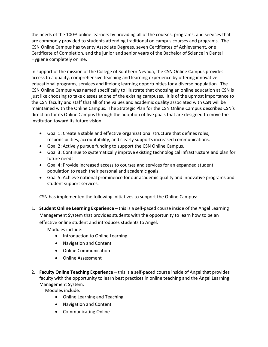the needs of the 100% online learners by providing all of the courses, programs, and services that are commonly provided to students attending traditional on campus courses and programs. The CSN Online Campus has twenty Associate Degrees, seven Certificates of Achievement, one Certificate of Completion, and the junior and senior years of the Bachelor of Science in Dental Hygiene completely online.

In support of the mission of the College of Southern Nevada, the CSN Online Campus provides access to a quality, comprehensive teaching and learning experience by offering innovative educational programs, services and lifelong learning opportunities for a diverse population. The CSN Online Campus was named specifically to illustrate that choosing an online education at CSN is just like choosing to take classes at one of the existing campuses. It is of the upmost importance to the CSN faculty and staff that all of the values and academic quality associated with CSN will be maintained with the Online Campus. The Strategic Plan for the CSN Online Campus describes CSN's direction for its Online Campus through the adoption of five goals that are designed to move the institution toward its future vision:

- Goal 1: Create a stable and effective organizational structure that defines roles, responsibilities, accountability, and clearly supports increased communications.
- Goal 2: Actively pursue funding to support the CSN Online Campus.
- Goal 3: Continue to systematically improve existing technological infrastructure and plan for future needs.
- Goal 4: Provide increased access to courses and services for an expanded student population to reach their personal and academic goals.
- Goal 5: Achieve national prominence for our academic quality and innovative programs and student support services.

CSN has implemented the following initiatives to support the Online Campus:

1. **Student Online Learning Experience** – this is a self-paced course inside of the Angel Learning Management System that provides students with the opportunity to learn how to be an effective online student and introduces students to Angel.

Modules include:

- Introduction to Online Learning
- Navigation and Content
- Online Communication
- Online Assessment
- 2. **Faculty Online Teaching Experience** this is a self-paced course inside of Angel that provides faculty with the opportunity to learn best practices in online teaching and the Angel Learning Management System.

Modules include:

- Online Learning and Teaching
- Navigation and Content
- Communicating Online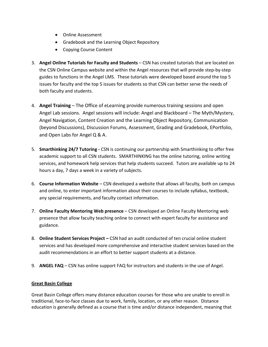- Online Assessment
- Gradebook and the Learning Object Repository
- Copying Course Content
- 3. **Angel Online Tutorials for Faculty and Students** CSN has created tutorials that are located on the CSN Online Campus website and within the Angel resources that will provide step-by-step guides to functions in the Angel LMS. These tutorials were developed based around the top 5 issues for faculty and the top 5 issues for students so that CSN can better serve the needs of both faculty and students.
- 4. **Angel Training** The Office of eLearning provide numerous training sessions and open Angel Lab sessions. Angel sessions will include: Angel and Blackboard – The Myth/Mystery, Angel Navigation, Content Creation and the Learning Object Repository, Communication (beyond Discussions), Discussion Forums, Assessment, Grading and Gradebook, EPortfolio, and Open Labs for Angel Q & A.
- 5. **Smarthinking 24/7 Tutoring -** CSN is continuing our partnership with Smarthinking to offer free academic support to all CSN students. SMARTHINKING has the online tutoring, online writing services, and homework help services that help students succeed. Tutors are available up to 24 hours a day, 7 days a week in a variety of subjects.
- 6. **Course Information Website** CSN developed a website that allows all faculty, both on campus and online, to enter important information about their courses to include syllabus, textbook, any special requirements, and faculty contact information.
- 7. **Online Faculty Mentoring Web presence** CSN developed an Online Faculty Mentoring web presence that allow faculty teaching online to connect with expert faculty for assistance and guidance.
- 8. **Online Student Services Project –** CSN had an audit conducted of ten crucial online student services and has developed more comprehensive and interactive student services based on the audit recommendations in an effort to better support students at a distance.
- 9. **ANGEL FAQ** CSN has online support FAQ for instructors and students in the use of Angel.

#### **Great Basin College**

Great Basin College offers many distance education courses for those who are unable to enroll in traditional, face-to-face classes due to work, family, location, or any other reason. Distance education is generally defined as a course that is time and/or distance independent, meaning that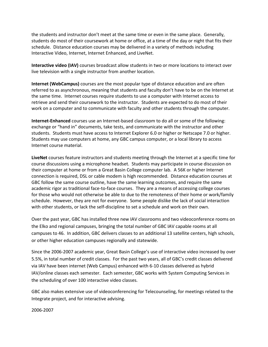the students and instructor don't meet at the same time or even in the same place. Generally, students do most of their coursework at home or office, at a time of the day or night that fits their schedule. Distance education courses may be delivered in a variety of methods including Interactive Video, Internet, Internet Enhanced, and LiveNet.

**Interactive video (IAV)** courses broadcast allow students in two or more locations to interact over live television with a single instructor from another location.

**Internet (WebCampus)** courses are the most popular type of distance education and are often referred to as asynchronous, meaning that students and faculty don't have to be on the Internet at the same time. Internet courses require students to use a computer with Internet access to retrieve and send their coursework to the instructor. Students are expected to do most of their work on a computer and to communicate with faculty and other students through the computer.

**Internet-Enhanced** courses use an Internet-based classroom to do all or some of the following: exchange or "hand in" documents, take tests, and communicate with the instructor and other students. Students must have access to Internet Explorer 6.0 or higher or Netscape 7.0 or higher. Students may use computers at home, any GBC campus computer, or a local library to access Internet course material.

**LiveNet** courses feature instructors and students meeting through the Internet at a specific time for course discussions using a microphone headset. Students may participate in course discussion on their computer at home or from a Great Basin College computer lab. A 56K or higher Internet connection is required, DSL or cable modem is high recommended. Distance education courses at GBC follow the same course outline, have the same learning outcomes, and require the same academic rigor as traditional face-to-face courses. They are a means of accessing college courses for those who would not otherwise be able to due to the remoteness of their home or work/family schedule. However, they are not for everyone. Some people dislike the lack of social interaction with other students, or lack the self-discipline to set a schedule and work on their own.

Over the past year, GBC has installed three new IAV classrooms and two videoconference rooms on the Elko and regional campuses, bringing the total number of GBC IAV capable rooms at all campuses to 46. In addition, GBC delivers classes to an additional 13 satellite centers, high schools, or other higher education campuses regionally and statewide.

Since the 2006-2007 academic year, Great Basin College's use of interactive video increased by over 5.5%, in total number of credit classes. For the past two years, all of GBC's credit classes delivered via IAV have been internet (Web Campus) enhanced with 6-10 classes delivered as hybrid IAV/online classes each semester. Each semester, GBC works with System Computing Services in the scheduling of over 100 interactive video classes.

GBC also makes extensive use of videoconferencing for Telecounseling, for meetings related to the Integrate project, and for interactive advising.

2006-2007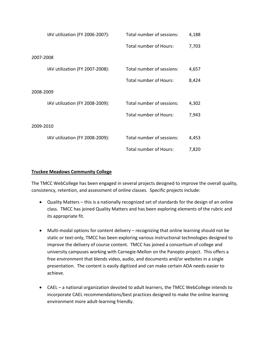|           | IAV utilization (FY 2006-2007): | Total number of sessions:     | 4,188 |
|-----------|---------------------------------|-------------------------------|-------|
|           |                                 | Total number of Hours:        | 7,703 |
| 2007-2008 |                                 |                               |       |
|           | IAV utilization (FY 2007-2008): | Total number of sessions:     | 4,657 |
|           |                                 | <b>Total number of Hours:</b> | 8,424 |
| 2008-2009 |                                 |                               |       |
|           | IAV utilization (FY 2008-2009): | Total number of sessions:     | 4,302 |
|           |                                 | <b>Total number of Hours:</b> | 7,943 |
| 2009-2010 |                                 |                               |       |
|           | IAV utilization (FY 2008-2009): | Total number of sessions:     | 4,453 |
|           |                                 | Total number of Hours:        | 7,820 |

#### **Truckee Meadows Community College**

The TMCC WebCollege has been engaged in several projects designed to improve the overall quality, consistency, retention, and assessment of online classes. Specific projects include:

- Quality Matters this is a nationally recognized set of standards for the design of an online class. TMCC has joined Quality Matters and has been exploring elements of the rubric and its appropriate fit.
- Multi-modal options for content delivery recognizing that online learning should not be static or text-only, TMCC has been exploring various instructional technologies designed to improve the delivery of course content. TMCC has joined a consortium of college and university campuses working with Carnegie-Mellon on the Panopto project. This offers a free environment that blends video, audio, and documents and/or websites in a single presentation. The content is easily digitized and can make certain ADA needs easier to achieve.
- CAEL a national organization devoted to adult learners, the TMCC WebCollege intends to incorporate CAEL recommendations/best practices designed to make the online learning environment more adult-learning friendly.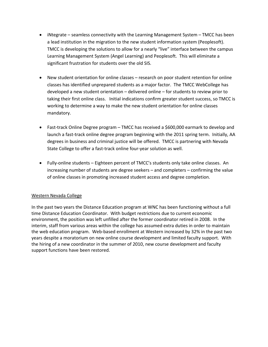- iNtegrate seamless connectivity with the Learning Management System TMCC has been a lead institution in the migration to the new student information system (Peoplesoft). TMCC is developing the solutions to allow for a nearly "live" interface between the campus Learning Management System (Angel Learning) and Peoplesoft. This will eliminate a significant frustration for students over the old SIS.
- New student orientation for online classes research on poor student retention for online classes has identified unprepared students as a major factor. The TMCC WebCollege has developed a new student orientation – delivered online – for students to review prior to taking their first online class. Initial indications confirm greater student success, so TMCC is working to determine a way to make the new student orientation for online classes mandatory.
- Fast-track Online Degree program TMCC has received a \$600,000 earmark to develop and launch a fast-track online degree program beginning with the 2011 spring term. Initially, AA degrees in business and criminal justice will be offered. TMCC is partnering with Nevada State College to offer a fast-track online four-year solution as well.
- Fully-online students Eighteen percent of TMCC's students only take online classes. An increasing number of students are degree seekers – and completers – confirming the value of online classes in promoting increased student access and degree completion.

#### Western Nevada College

In the past two years the Distance Education program at WNC has been functioning without a full time Distance Education Coordinator. With budget restrictions due to current economic environment, the position was left unfilled after the former coordinator retired in 2008. In the interim, staff from various areas within the college has assumed extra duties in order to maintain the web education program. Web-based enrollment at Western increased by 32% in the past two years despite a moratorium on new online course development and limited faculty support. With the hiring of a new coordinator in the summer of 2010, new course development and faculty support functions have been restored.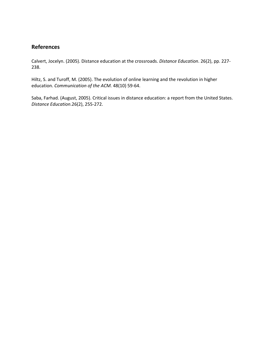# **References**

Calvert, Jocelyn. (2005). Distance education at the crossroads. *Distance Education*. 26(2), pp. 227- 238.

Hiltz, S. and Turoff, M. (2005). The evolution of online learning and the revolution in higher education. *Communication of the ACM.* 48(10) 59-64.

Saba, Farhad. (August, 2005). Critical issues in distance education: a report from the United States. *Distance Education*.26(2), 255-272.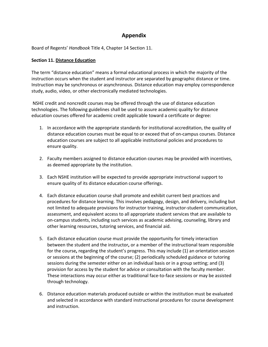# **Appendix**

Board of Regents' *Handbook* Title 4, Chapter 14 Section 11.

#### **Section 11. Distance Education**

The term "distance education" means a formal educational process in which the majority of the instruction occurs when the student and instructor are separated by geographic distance or time. Instruction may be synchronous or asynchronous. Distance education may employ correspondence study, audio, video, or other electronically mediated technologies.

NSHE credit and noncredit courses may be offered through the use of distance education technologies. The following guidelines shall be used to assure academic quality for distance education courses offered for academic credit applicable toward a certificate or degree:

- 1. In accordance with the appropriate standards for institutional accreditation, the quality of distance education courses must be equal to or exceed that of on-campus courses. Distance education courses are subject to all applicable institutional policies and procedures to ensure quality.
- 2. Faculty members assigned to distance education courses may be provided with incentives, as deemed appropriate by the institution.
- 3. Each NSHE institution will be expected to provide appropriate instructional support to ensure quality of its distance education course offerings.
- 4. Each distance education course shall promote and exhibit current best practices and procedures for distance learning. This involves pedagogy, design, and delivery, including but not limited to adequate provisions for instructor training, instructor-student communication, assessment, and equivalent access to all appropriate student services that are available to on-campus students, including such services as academic advising, counseling, library and other learning resources, tutoring services, and financial aid.
- 5. Each distance education course must provide the opportunity for timely interaction between the student and the instructor**,** or a member of the instructional team responsible for the course**,** regarding the student's progress. This may include (1) an orientation session or sessions at the beginning of the course; (2) periodically scheduled guidance or tutoring sessions during the semester either on an individual basis or in a group setting; and (3) provision for access by the student for advice or consultation with the faculty member. These interactions may occur either as traditional face-to-face sessions or may be assisted through technology.
- 6. Distance education materials produced outside or within the institution must be evaluated and selected in accordance with standard instructional procedures for course development and instruction.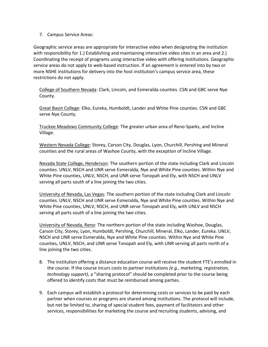#### 7. Campus Service Areas:

Geographic service areas are appropriate for interactive video when designating the institution with responsibility for 1.) Establishing and maintaining interactive video sites in an area and 2.) Coordinating the receipt of programs using interactive video with offering institutions. Geographic service areas do not apply to web-based instruction. If an agreement is entered into by two or more NSHE institutions for delivery into the host institution's campus service area, these restrictions do not apply.

College of Southern Nevada: Clark, Lincoln, and Esmeralda counties. CSN and GBC serve Nye County.

Great Basin College: Elko, Eureka, Humboldt, Lander and White Pine counties. CSN and GBC serve Nye County.

Truckee Meadows Community College: The greater urban area of Reno-Sparks, and Incline Village.

Western Nevada College: Storey, Carson City, Douglas, Lyon, Churchill, Pershing and Mineral counties and the rural areas of Washoe County, with the exception of Incline Village.

Nevada State College, Henderson: The southern portion of the state including Clark and Lincoln counties. UNLV, NSCH and UNR serve Esmeralda, Nye and White Pine counties. Within Nye and White Pine counties, UNLV, NSCH, and UNR serve Tonopah and Ely, with NSCH and UNLV serving all parts south of a line joining the two cities.

University of Nevada, Las Vegas: The southern portion of the state including Clark and Lincoln counties. UNLV, NSCH and UNR serve Esmeralda, Nye and White Pine counties. Within Nye and White Pine counties, UNLV, NSCH, and UNR serve Tonopah and Ely, with UNLV and NSCH serving all parts south of a line joining the two cities.

University of Nevada, Reno: The northern portion of the state including Washoe, Douglas, Carson City, Storey, Lyon, Humboldt, Pershing, Churchill, Mineral, Elko, Lander, Eureka. UNLV, NSCH and UNR serve Esmeralda, Nye and White Pine counties. Within Nye and White Pine counties, UNLV, NSCH, and UNR serve Tonopah and Ely, with UNR serving all parts north of a line joining the two cities.

- 8. The institution offering a distance education course will receive the student FTE's enrolled in the course. If the course incurs costs to partner institutions *(e.g., marketing, registration, technology support)*, a "sharing protocol" should be completed prior to the course being offered to identify costs that must be reimbursed among parties.
- 9. Each campus will establish a protocol for determining costs or services to be paid by each partner when courses or programs are shared among institutions. The protocol will include, but not be limited to, sharing of special student fees, payment of facilitators and other services, responsibilities for marketing the course and recruiting students, advising, and